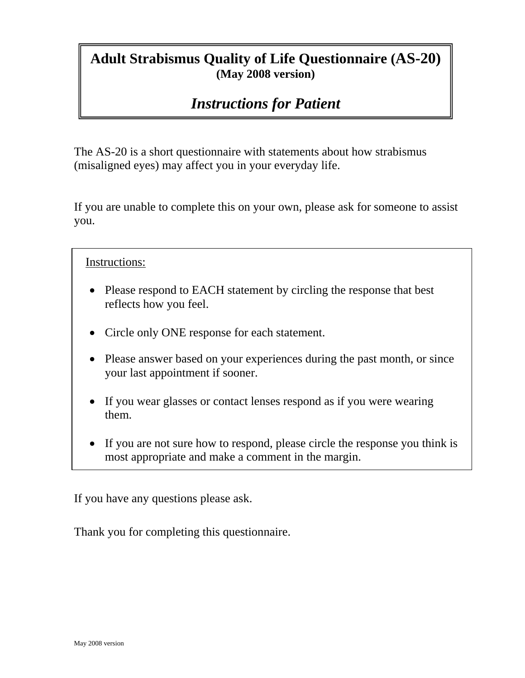# **Adult Strabismus Quality of Life Questionnaire (AS-20) (May 2008 version)**

# *Instructions for Patient*

The AS-20 is a short questionnaire with statements about how strabismus (misaligned eyes) may affect you in your everyday life.

If you are unable to complete this on your own, please ask for someone to assist you.

Instructions:

- Please respond to EACH statement by circling the response that best reflects how you feel.
- Circle only ONE response for each statement.
- Please answer based on your experiences during the past month, or since your last appointment if sooner.
- If you wear glasses or contact lenses respond as if you were wearing them.
- If you are not sure how to respond, please circle the response you think is most appropriate and make a comment in the margin.

If you have any questions please ask.

Thank you for completing this questionnaire.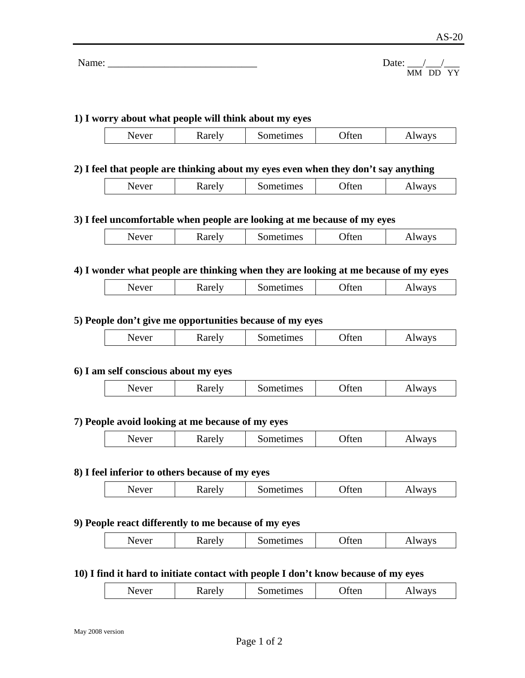| Name: | ate <sup>.</sup> |
|-------|------------------|
|       | __               |

# **1) I worry about what people will think about my eyes**

| ----<br>. | $\sim$<br>nes.<br>ຼ | TWH | <b>277</b><br>A<br>. .<br>. |
|-----------|---------------------|-----|-----------------------------|
|-----------|---------------------|-----|-----------------------------|

# **2) I feel that people are thinking about my eyes even when they don't say anything**

| 7 IVII<br>◡<br>$\sim$<br>.<br>∼<br>1.117 |
|------------------------------------------|
|------------------------------------------|

# **3) I feel uncomfortable when people are looking at me because of my eyes**

|  | ◡ | $1$ and $21$ | $\sim$ $\sim$ $\sim$ $\sim$<br>ues | 1 W 11 | v<br>W<br>- |
|--|---|--------------|------------------------------------|--------|-------------|
|--|---|--------------|------------------------------------|--------|-------------|

# **4) I wonder what people are thinking when they are looking at me because of my eyes**

|--|

# **5) People don't give me opportunities because of my eyes**

| ~ oro!⊤<br>ımes<br>ver:<br>۰ρ.<br>$\sim$ $\sim$<br>–<br>1011<br>raici<br>◡<br>$\cdots$ |
|----------------------------------------------------------------------------------------|
|----------------------------------------------------------------------------------------|

# **6) I am self conscious about my eyes**

| karely<br>Sometimes<br>ways<br>Never<br>tten<br><b>AAA</b> VV |
|---------------------------------------------------------------|
|---------------------------------------------------------------|

# **7) People avoid looking at me because of my eyes**

| - -<br>20400127<br>1mes<br>◝<br>$V$ $F$<br>. –<br>W<br><b>INGLET</b><br>-<br>1 W 11<br>u<br>ч.<br><b>V.D</b> |  |
|--------------------------------------------------------------------------------------------------------------|--|
|--------------------------------------------------------------------------------------------------------------|--|

### **8) I feel inferior to others because of my eyes**

| ∠arelv<br>sometimes<br><b>IWAVS</b><br>$4$ $P$ $V$ $P$ $r$<br>rten<br>◝<br>Nater<br>◥◡<br>$\cdot$ u<br><b>Y</b> D<br>ັ |
|------------------------------------------------------------------------------------------------------------------------|
|------------------------------------------------------------------------------------------------------------------------|

# **9) People react differently to me because of my eyes**

| $N$ $\alpha V$ $\alpha r$ | arely<br>71 I<br>$\ddotsc$ | etimes<br>. 16 | )tt≏n<br>TICII | $\cdots$<br>$\mathbf{v}$<br>$\mathbf{L}$<br>–<br>. |
|---------------------------|----------------------------|----------------|----------------|----------------------------------------------------|
|---------------------------|----------------------------|----------------|----------------|----------------------------------------------------|

# **10) I find it hard to initiate contact with people I don't know because of my eyes**

|  | $\sqrt{\rho V \rho r}$<br>ືີ | ገተሳ<br>raci | ometimes | tten | lways<br>. I W 2 |  |
|--|------------------------------|-------------|----------|------|------------------|--|
|--|------------------------------|-------------|----------|------|------------------|--|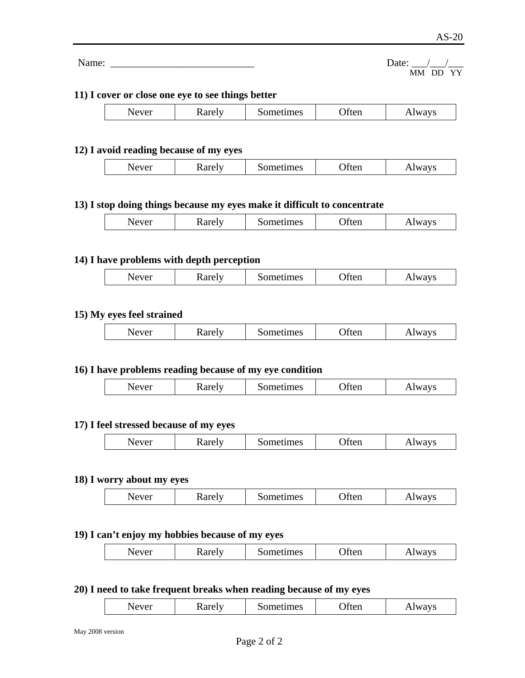| Date: |          |  |
|-------|----------|--|
|       | MM DD YY |  |

## **11) I cover or close one eye to see things better**

Name: \_\_\_\_\_\_\_\_\_\_\_\_\_\_\_\_\_\_\_\_\_\_\_\_\_\_\_\_ Date: \_\_\_/\_\_\_/\_\_\_

| r<br>◡<br>$\sim$ and $\sim$ | $-2200$<br>nes | TWH | л.<br>- |
|-----------------------------|----------------|-----|---------|
|-----------------------------|----------------|-----|---------|

## **12) I avoid reading because of my eyes**

| $\sim$ $\sim$<br>I٧<br>ues<br>A.<br>TWH<br>`V⊥<br>P<br>****<br>ຼ<br>$\sim$ $\sim$ $\sim$ $\sim$ |
|-------------------------------------------------------------------------------------------------|
|-------------------------------------------------------------------------------------------------|

# **13) I stop doing things because my eyes make it difficult to concentrate**

| Never | karely | ometimes | tten | <b>lways</b> |
|-------|--------|----------|------|--------------|
|       |        |          |      |              |

# **14) I have problems with depth perception**

| ັ | ---- | maaa<br>nes | 1 W 11<br>---- | A.<br>VS.<br>1.11 |
|---|------|-------------|----------------|-------------------|
|   |      |             |                |                   |

# **15) My eyes feel strained**

| $N$ $\Delta V$ $\Delta$ | <b>Rarely</b> | ometimes | τeτ | vavs |
|-------------------------|---------------|----------|-----|------|
| ◡                       |               | ຼ        | TMI | W    |
|                         |               |          |     |      |

## **16) I have problems reading because of my eye condition**

| 27724<br>◝<br>$\eta$<br>$\mathbf{u}$ | $ -$<br>.,<br>ranci | mes<br>нен<br>יי<br>∼ | TICII | $W_{\ell}$<br>'V ⊾ |
|--------------------------------------|---------------------|-----------------------|-------|--------------------|
|--------------------------------------|---------------------|-----------------------|-------|--------------------|

### **17) I feel stressed because of my eyes**

| ⊤ا ∆۹۳ ہے<br>ometimes<br>uten<br>1 V<br>W<br>ranci<br>∼<br>. |
|--------------------------------------------------------------|
|--------------------------------------------------------------|

# **18) I worry about my eyes**

| .<br>$\cdots$<br>$    -$<br>$- - - - - -$<br>Tigil<br>ues<br>◝<br>V<br>,,,<br><br>$\mathbf{M}$<br>-<br>⊾ |
|----------------------------------------------------------------------------------------------------------|
|----------------------------------------------------------------------------------------------------------|

### **19) I can't enjoy my hobbies because of my eyes**

| . arely<br>◝<br>्र<br>◡ェ<br>ranci | Sometimes | בזי<br>1 W.H | 1 M<br>້<br>~<br>1.117 |
|-----------------------------------|-----------|--------------|------------------------|
|-----------------------------------|-----------|--------------|------------------------|

### **20) I need to take frequent breaks when reading because of my eyes**

| $\mathbf{H}$<br>mes<br>0.440<br>$- - - - -$<br>`!\<br>`V.<br>TICII<br>л.<br>◡<br>ranci<br>ຼ |  |  |  |  |  |
|---------------------------------------------------------------------------------------------|--|--|--|--|--|
|---------------------------------------------------------------------------------------------|--|--|--|--|--|